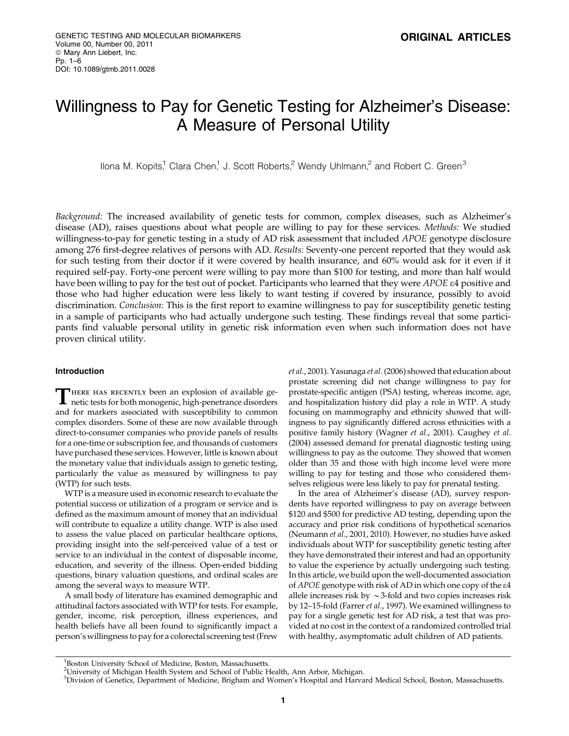# Willingness to Pay for Genetic Testing for Alzheimer's Disease: A Measure of Personal Utility

Ilona M. Kopits,<sup>1</sup> Clara Chen,<sup>1</sup> J. Scott Roberts,<sup>2</sup> Wendy Uhlmann,<sup>2</sup> and Robert C. Green<sup>3</sup>

Background: The increased availability of genetic tests for common, complex diseases, such as Alzheimer's disease (AD), raises questions about what people are willing to pay for these services. Methods: We studied willingness-to-pay for genetic testing in a study of AD risk assessment that included APOE genotype disclosure among 276 first-degree relatives of persons with AD. Results: Seventy-one percent reported that they would ask for such testing from their doctor if it were covered by health insurance, and 60% would ask for it even if it required self-pay. Forty-one percent were willing to pay more than \$100 for testing, and more than half would have been willing to pay for the test out of pocket. Participants who learned that they were APOE  $\epsilon$ 4 positive and those who had higher education were less likely to want testing if covered by insurance, possibly to avoid discrimination. Conclusion: This is the first report to examine willingness to pay for susceptibility genetic testing in a sample of participants who had actually undergone such testing. These findings reveal that some participants find valuable personal utility in genetic risk information even when such information does not have proven clinical utility.

#### Introduction

THERE HAS RECENTLY been an explosion of available genetic tests for both monogenic, high-penetrance disorders and for markers associated with susceptibility to common complex disorders. Some of these are now available through direct-to-consumer companies who provide panels of results for a one-time or subscription fee, and thousands of customers have purchased these services. However, little is known about the monetary value that individuals assign to genetic testing, particularly the value as measured by willingness to pay (WTP) for such tests.

WTP is a measure used in economic research to evaluate the potential success or utilization of a program or service and is defined as the maximum amount of money that an individual will contribute to equalize a utility change. WTP is also used to assess the value placed on particular healthcare options, providing insight into the self-perceived value of a test or service to an individual in the context of disposable income, education, and severity of the illness. Open-ended bidding questions, binary valuation questions, and ordinal scales are among the several ways to measure WTP.

A small body of literature has examined demographic and attitudinal factors associated with WTP for tests. For example, gender, income, risk perception, illness experiences, and health beliefs have all been found to significantly impact a person's willingness to pay for a colorectal screening test (Frew

et al., 2001). Yasunaga et al. (2006) showed that education about prostate screening did not change willingness to pay for prostate-specific antigen (PSA) testing, whereas income, age, and hospitalization history did play a role in WTP. A study focusing on mammography and ethnicity showed that willingness to pay significantly differed across ethnicities with a positive family history (Wagner et al., 2001). Caughey et al. (2004) assessed demand for prenatal diagnostic testing using willingness to pay as the outcome. They showed that women older than 35 and those with high income level were more willing to pay for testing and those who considered themselves religious were less likely to pay for prenatal testing.

In the area of Alzheimer's disease (AD), survey respondents have reported willingness to pay on average between \$120 and \$500 for predictive AD testing, depending upon the accuracy and prior risk conditions of hypothetical scenarios (Neumann et al., 2001, 2010). However, no studies have asked individuals about WTP for susceptibility genetic testing after they have demonstrated their interest and had an opportunity to value the experience by actually undergoing such testing. In this article, we build upon the well-documented association of APOE genotype with risk of AD in which one copy of the e4 allele increases risk by  $\sim$  3-fold and two copies increases risk by 12–15-fold (Farrer et al., 1997). We examined willingness to pay for a single genetic test for AD risk, a test that was provided at no cost in the context of a randomized controlled trial with healthy, asymptomatic adult children of AD patients.

<sup>&</sup>lt;sup>1</sup>Boston University School of Medicine, Boston, Massachusetts.

<sup>&</sup>lt;sup>2</sup>University of Michigan Health System and School of Public Health, Ann Arbor, Michigan.

<sup>3</sup> Division of Genetics, Department of Medicine, Brigham and Women's Hospital and Harvard Medical School, Boston, Massachusetts.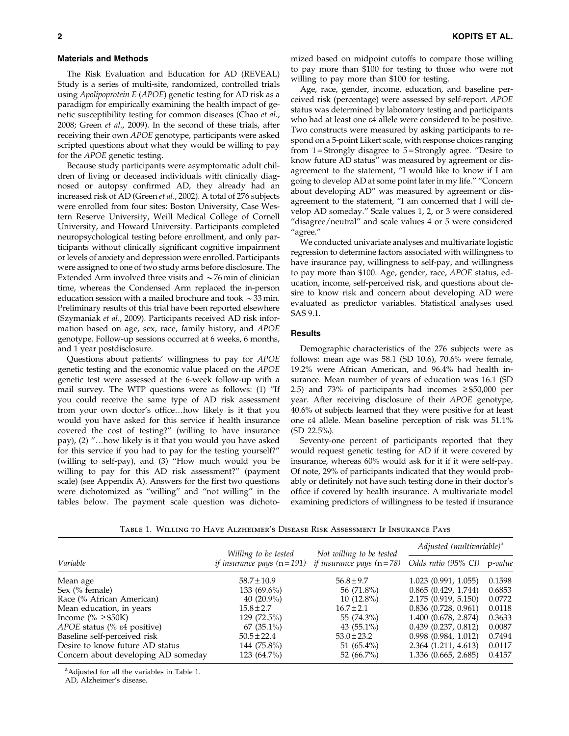#### Materials and Methods

The Risk Evaluation and Education for AD (REVEAL) Study is a series of multi-site, randomized, controlled trials using Apolipoprotein E (APOE) genetic testing for AD risk as a paradigm for empirically examining the health impact of genetic susceptibility testing for common diseases (Chao et al., 2008; Green et al., 2009). In the second of these trials, after receiving their own APOE genotype, participants were asked scripted questions about what they would be willing to pay for the APOE genetic testing.

Because study participants were asymptomatic adult children of living or deceased individuals with clinically diagnosed or autopsy confirmed AD, they already had an increased risk of AD (Green et al., 2002). A total of 276 subjects were enrolled from four sites: Boston University, Case Western Reserve University, Weill Medical College of Cornell University, and Howard University. Participants completed neuropsychological testing before enrollment, and only participants without clinically significant cognitive impairment or levels of anxiety and depression were enrolled. Participants were assigned to one of two study arms before disclosure. The Extended Arm involved three visits and  $\sim$  76 min of clinician time, whereas the Condensed Arm replaced the in-person education session with a mailed brochure and took  $\sim$ 33 min. Preliminary results of this trial have been reported elsewhere (Szymaniak et al., 2009). Participants received AD risk information based on age, sex, race, family history, and APOE genotype. Follow-up sessions occurred at 6 weeks, 6 months, and 1 year postdisclosure.

Questions about patients' willingness to pay for APOE genetic testing and the economic value placed on the APOE genetic test were assessed at the 6-week follow-up with a mail survey. The WTP questions were as follows: (1) ''If you could receive the same type of AD risk assessment from your own doctor's office...how likely is it that you would you have asked for this service if health insurance covered the cost of testing?'' (willing to have insurance pay), (2) ''.how likely is it that you would you have asked for this service if you had to pay for the testing yourself?'' (willing to self-pay), and (3) ''How much would you be willing to pay for this AD risk assessment?'' (payment scale) (see Appendix A). Answers for the first two questions were dichotomized as ''willing'' and ''not willing'' in the tables below. The payment scale question was dichotomized based on midpoint cutoffs to compare those willing to pay more than \$100 for testing to those who were not willing to pay more than \$100 for testing.

Age, race, gender, income, education, and baseline perceived risk (percentage) were assessed by self-report. APOE status was determined by laboratory testing and participants who had at least one e4 allele were considered to be positive. Two constructs were measured by asking participants to respond on a 5-point Likert scale, with response choices ranging from 1 = Strongly disagree to 5 = Strongly agree. ''Desire to know future AD status'' was measured by agreement or disagreement to the statement, ''I would like to know if I am going to develop AD at some point later in my life.'' ''Concern about developing AD'' was measured by agreement or disagreement to the statement, ''I am concerned that I will develop AD someday.'' Scale values 1, 2, or 3 were considered "disagree/neutral" and scale values 4 or 5 were considered ''agree.''

We conducted univariate analyses and multivariate logistic regression to determine factors associated with willingness to have insurance pay, willingness to self-pay, and willingness to pay more than \$100. Age, gender, race, APOE status, education, income, self-perceived risk, and questions about desire to know risk and concern about developing AD were evaluated as predictor variables. Statistical analyses used SAS 9.1.

#### **Results**

Demographic characteristics of the 276 subjects were as follows: mean age was 58.1 (SD 10.6), 70.6% were female, 19.2% were African American, and 96.4% had health insurance. Mean number of years of education was 16.1 (SD 2.5) and 73% of participants had incomes  $\geq$ \$50,000 per year. After receiving disclosure of their APOE genotype, 40.6% of subjects learned that they were positive for at least one e4 allele. Mean baseline perception of risk was 51.1% (SD 22.5%).

Seventy-one percent of participants reported that they would request genetic testing for AD if it were covered by insurance, whereas 60% would ask for it if it were self-pay. Of note, 29% of participants indicated that they would probably or definitely not have such testing done in their doctor's office if covered by health insurance. A multivariate model examining predictors of willingness to be tested if insurance

|  | Table 1. Willing to Have Alzheimer's Disease Risk Assessment If Insurance Pays |  |  |
|--|--------------------------------------------------------------------------------|--|--|
|  |                                                                                |  |  |

|                                              |                                                            |                                                                                                  | Adjusted (multivariable) <sup>a</sup> |         |
|----------------------------------------------|------------------------------------------------------------|--------------------------------------------------------------------------------------------------|---------------------------------------|---------|
| Variable                                     | Willing to be tested<br><i>if insurance pays</i> $(n=191)$ | Not willing to be tested<br><i>if insurance pays</i> $(n=78)$ <i>Odds ratio</i> (95% <i>CI</i> ) |                                       | p-value |
| Mean age                                     | $58.7 \pm 10.9$                                            | $56.8 \pm 9.7$                                                                                   | 1.023(0.991, 1.055)                   | 0.1598  |
| Sex $(\%$ female)                            | 133 (69.6%)                                                | 56 (71.8%)                                                                                       | 0.865(0.429, 1.744)                   | 0.6853  |
| Race (% African American)                    | $40(20.9\%)$                                               | $10(12.8\%)$                                                                                     | 2.175(0.919, 5.150)                   | 0.0772  |
| Mean education, in years                     | $15.8 \pm 2.7$                                             | $16.7 \pm 2.1$                                                                                   | $0.836$ $(0.728, 0.961)$              | 0.0118  |
| Income (% $\geq$ \$50K)                      | 129 (72.5%)                                                | 55 (74.3%)                                                                                       | 1.400 (0.678, 2.874)                  | 0.3633  |
| <i>APOE</i> status (% $\epsilon$ 4 positive) | $67(35.1\%)$                                               | $43(55.1\%)$                                                                                     | 0.439(0.237, 0.812)                   | 0.0087  |
| Baseline self-perceived risk                 | $50.5 \pm 22.4$                                            | $53.0 \pm 23.2$                                                                                  | 0.998(0.984, 1.012)                   | 0.7494  |
| Desire to know future AD status              | 144 (75.8%)                                                | 51 $(65.4\%)$                                                                                    | $2.364$ (1.211, 4.613)                | 0.0117  |
| Concern about developing AD someday          | 123 (64.7%)                                                | 52 $(66.7\%)$                                                                                    | 1.336 (0.665, 2.685)                  | 0.4157  |

<sup>a</sup>Adjusted for all the variables in Table 1.

AD, Alzheimer's disease.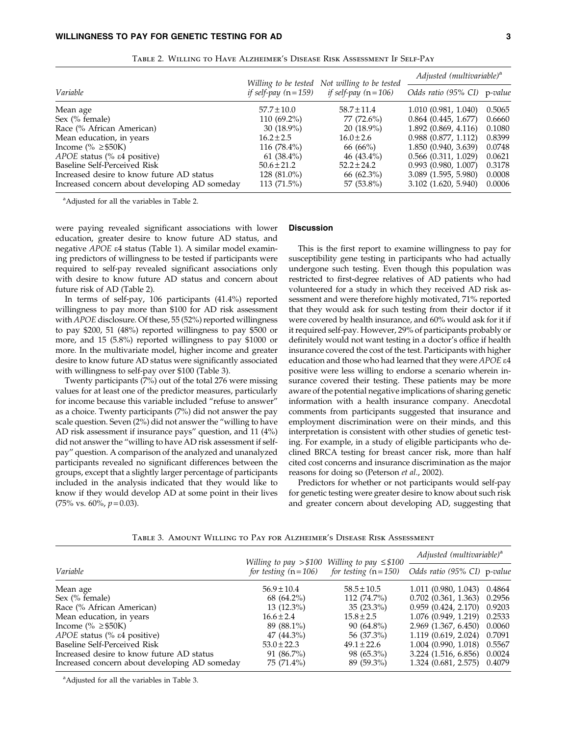|                                               |                              | Willing to be tested Not willing to be tested | Adjusted (multivariable) <sup>a</sup> |        |  |
|-----------------------------------------------|------------------------------|-----------------------------------------------|---------------------------------------|--------|--|
| Variable                                      | <i>if self-pay</i> $(n=159)$ | <i>if self-pay</i> $(n=106)$                  | Odds ratio (95% CI) p-value           |        |  |
| Mean age                                      | $57.7 \pm 10.0$              | $58.7 \pm 11.4$                               | 1.010(0.981, 1.040)                   | 0.5065 |  |
| Sex $(\%$ female)                             | $110(69.2\%)$                | 77 (72.6%)                                    | $0.864$ (0.445, 1.677)                | 0.6660 |  |
| Race (% African American)                     | $30(18.9\%)$                 | $20(18.9\%)$                                  | 1.892(0.869, 4.116)                   | 0.1080 |  |
| Mean education, in years                      | $16.2 \pm 2.5$               | $16.0 \pm 2.6$                                | $0.988$ $(0.877, 1.112)$              | 0.8399 |  |
| Income (% $\geq$ \$50K)                       | $116(78.4\%)$                | 66 (66%)                                      | 1.850 (0.940, 3.639)                  | 0.0748 |  |
| <i>APOE</i> status (% $\epsilon$ 4 positive)  | 61 $(38.4\%)$                | $46(43.4\%)$                                  | $0.566$ $(0.311, 1.029)$              | 0.0621 |  |
| Baseline Self-Perceived Risk                  | $50.6 \pm 21.2$              | $52.2 \pm 24.2$                               | 0.993(0.980, 1.007)                   | 0.3178 |  |
| Increased desire to know future AD status     | 128 (81.0%)                  | 66 (62.3%)                                    | $3.089$ (1.595, 5.980)                | 0.0008 |  |
| Increased concern about developing AD someday | $113(71.5\%)$                | 57 (53.8%)                                    | 3.102(1.620, 5.940)                   | 0.0006 |  |

Table 2. Willing to Have Alzheimer's Disease Risk Assessment If Self-Pay

<sup>a</sup>Adjusted for all the variables in Table 2.

were paying revealed significant associations with lower education, greater desire to know future AD status, and negative APOE e4 status (Table 1). A similar model examining predictors of willingness to be tested if participants were required to self-pay revealed significant associations only with desire to know future AD status and concern about future risk of AD (Table 2).

In terms of self-pay, 106 participants (41.4%) reported willingness to pay more than \$100 for AD risk assessment with APOE disclosure. Of these, 55 (52%) reported willingness to pay \$200, 51 (48%) reported willingness to pay \$500 or more, and 15 (5.8%) reported willingness to pay \$1000 or more. In the multivariate model, higher income and greater desire to know future AD status were significantly associated with willingness to self-pay over \$100 (Table 3).

Twenty participants (7%) out of the total 276 were missing values for at least one of the predictor measures, particularly for income because this variable included ''refuse to answer'' as a choice. Twenty participants (7%) did not answer the pay scale question. Seven (2%) did not answer the ''willing to have AD risk assessment if insurance pays'' question, and 11 (4%) did not answer the ''willing to have AD risk assessment if selfpay'' question. A comparison of the analyzed and unanalyzed participants revealed no significant differences between the groups, except that a slightly larger percentage of participants included in the analysis indicated that they would like to know if they would develop AD at some point in their lives  $(75\% \text{ vs. } 60\%, p=0.03).$ 

#### **Discussion**

This is the first report to examine willingness to pay for susceptibility gene testing in participants who had actually undergone such testing. Even though this population was restricted to first-degree relatives of AD patients who had volunteered for a study in which they received AD risk assessment and were therefore highly motivated, 71% reported that they would ask for such testing from their doctor if it were covered by health insurance, and 60% would ask for it if it required self-pay. However, 29% of participants probably or definitely would not want testing in a doctor's office if health insurance covered the cost of the test. Participants with higher education and those who had learned that they were APOE e4 positive were less willing to endorse a scenario wherein insurance covered their testing. These patients may be more aware of the potential negative implications of sharing genetic information with a health insurance company. Anecdotal comments from participants suggested that insurance and employment discrimination were on their minds, and this interpretation is consistent with other studies of genetic testing. For example, in a study of eligible participants who declined BRCA testing for breast cancer risk, more than half cited cost concerns and insurance discrimination as the major reasons for doing so (Peterson et al., 2002).

Predictors for whether or not participants would self-pay for genetic testing were greater desire to know about such risk and greater concern about developing AD, suggesting that

|                                               | Willing to pay $> $100$ | Willing to pay $\leq$ \$100 | Adjusted (multivariable) <sup>a</sup> |        |
|-----------------------------------------------|-------------------------|-----------------------------|---------------------------------------|--------|
| Variable                                      | for testing $(n=106)$   | for testing $(n=150)$       | Odds ratio (95% CI) p-value           |        |
| Mean age                                      | $56.9 \pm 10.4$         | $58.5 \pm 10.5$             | 1.011(0.980, 1.043)                   | 0.4864 |
| Sex $(\%$ female)                             | 68 (64.2%)              | 112 (74.7%)                 | 0.702(0.361, 1.363)                   | 0.2956 |
| Race (% African American)                     | $13(12.3\%)$            | $35(23.3\%)$                | 0.959(0.424, 2.170)                   | 0.9203 |
| Mean education, in years                      | $16.6 \pm 2.4$          | $15.8 \pm 2.5$              | 1.076 (0.949, 1.219)                  | 0.2533 |
| Income (% $\geq$ \$50K)                       | 89 (88.1%)              | 90 (64.8%)                  | 2.969(1.367, 6.450)                   | 0.0060 |
| <i>APOE</i> status (% $\epsilon$ 4 positive)  | 47 (44.3%)              | 56 (37.3%)                  | 1.119(0.619, 2.024)                   | 0.7091 |
| Baseline Self-Perceived Risk                  | $53.0 \pm 22.3$         | $49.1 \pm 22.6$             | 1.004(0.990, 1.018)                   | 0.5567 |
| Increased desire to know future AD status     | 91 (86.7%)              | 98 (65.3%)                  | 3.224(1.516, 6.856)                   | 0.0024 |
| Increased concern about developing AD someday | 75 (71.4%)              | 89 (59.3%)                  | 1.324(0.681, 2.575)                   | 0.4079 |

Table 3. Amount Willing to Pay for Alzheimer's Disease Risk Assessment

<sup>a</sup>Adjusted for all the variables in Table 3.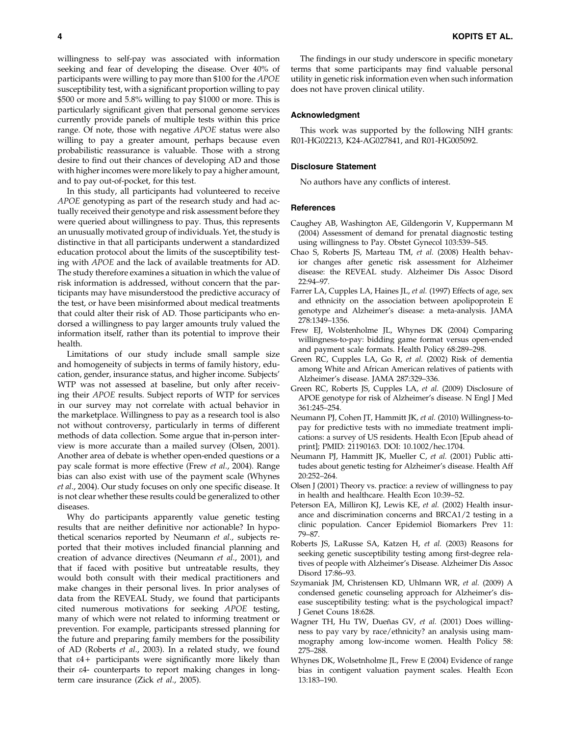willingness to self-pay was associated with information seeking and fear of developing the disease. Over 40% of participants were willing to pay more than \$100 for the APOE susceptibility test, with a significant proportion willing to pay \$500 or more and 5.8% willing to pay \$1000 or more. This is particularly significant given that personal genome services currently provide panels of multiple tests within this price range. Of note, those with negative APOE status were also willing to pay a greater amount, perhaps because even probabilistic reassurance is valuable. Those with a strong desire to find out their chances of developing AD and those with higher incomes were more likely to pay a higher amount, and to pay out-of-pocket, for this test.

In this study, all participants had volunteered to receive APOE genotyping as part of the research study and had actually received their genotype and risk assessment before they were queried about willingness to pay. Thus, this represents an unusually motivated group of individuals. Yet, the study is distinctive in that all participants underwent a standardized education protocol about the limits of the susceptibility testing with APOE and the lack of available treatments for AD. The study therefore examines a situation in which the value of risk information is addressed, without concern that the participants may have misunderstood the predictive accuracy of the test, or have been misinformed about medical treatments that could alter their risk of AD. Those participants who endorsed a willingness to pay larger amounts truly valued the information itself, rather than its potential to improve their health.

Limitations of our study include small sample size and homogeneity of subjects in terms of family history, education, gender, insurance status, and higher income. Subjects' WTP was not assessed at baseline, but only after receiving their APOE results. Subject reports of WTP for services in our survey may not correlate with actual behavior in the marketplace. Willingness to pay as a research tool is also not without controversy, particularly in terms of different methods of data collection. Some argue that in-person interview is more accurate than a mailed survey (Olsen, 2001). Another area of debate is whether open-ended questions or a pay scale format is more effective (Frew et al., 2004). Range bias can also exist with use of the payment scale (Whynes et al., 2004). Our study focuses on only one specific disease. It is not clear whether these results could be generalized to other diseases.

Why do participants apparently value genetic testing results that are neither definitive nor actionable? In hypothetical scenarios reported by Neumann et al., subjects reported that their motives included financial planning and creation of advance directives (Neumann et al., 2001), and that if faced with positive but untreatable results, they would both consult with their medical practitioners and make changes in their personal lives. In prior analyses of data from the REVEAL Study, we found that participants cited numerous motivations for seeking APOE testing, many of which were not related to informing treatment or prevention. For example, participants stressed planning for the future and preparing family members for the possibility of AD (Roberts et al., 2003). In a related study, we found that  $\varepsilon$ 4+ participants were significantly more likely than their e4- counterparts to report making changes in longterm care insurance (Zick et al., 2005).

The findings in our study underscore in specific monetary terms that some participants may find valuable personal utility in genetic risk information even when such information does not have proven clinical utility.

#### Acknowledgment

This work was supported by the following NIH grants: R01-HG02213, K24-AG027841, and R01-HG005092.

#### Disclosure Statement

No authors have any conflicts of interest.

### References

- Caughey AB, Washington AE, Gildengorin V, Kuppermann M (2004) Assessment of demand for prenatal diagnostic testing using willingness to Pay. Obstet Gynecol 103:539–545.
- Chao S, Roberts JS, Marteau TM, et al. (2008) Health behavior changes after genetic risk assessment for Alzheimer disease: the REVEAL study. Alzheimer Dis Assoc Disord 22:94–97.
- Farrer LA, Cupples LA, Haines JL, et al. (1997) Effects of age, sex and ethnicity on the association between apolipoprotein E genotype and Alzheimer's disease: a meta-analysis. JAMA 278:1349–1356.
- Frew EJ, Wolstenholme JL, Whynes DK (2004) Comparing willingness-to-pay: bidding game format versus open-ended and payment scale formats. Health Policy 68:289–298.
- Green RC, Cupples LA, Go R, et al. (2002) Risk of dementia among White and African American relatives of patients with Alzheimer's disease. JAMA 287:329–336.
- Green RC, Roberts JS, Cupples LA, et al. (2009) Disclosure of APOE genotype for risk of Alzheimer's disease. N Engl J Med 361:245–254.
- Neumann PJ, Cohen JT, Hammitt JK, et al. (2010) Willingness-topay for predictive tests with no immediate treatment implications: a survey of US residents. Health Econ [Epub ahead of print]; PMID: 21190163. DOI: 10.1002/hec.1704.
- Neumann PJ, Hammitt JK, Mueller C, et al. (2001) Public attitudes about genetic testing for Alzheimer's disease. Health Aff 20:252–264.
- Olsen J (2001) Theory vs. practice: a review of willingness to pay in health and healthcare. Health Econ 10:39–52.
- Peterson EA, Milliron KJ, Lewis KE, et al. (2002) Health insurance and discrimination concerns and BRCA1/2 testing in a clinic population. Cancer Epidemiol Biomarkers Prev 11: 79–87.
- Roberts JS, LaRusse SA, Katzen H, et al. (2003) Reasons for seeking genetic susceptibility testing among first-degree relatives of people with Alzheimer's Disease. Alzheimer Dis Assoc Disord 17:86–93.
- Szymaniak JM, Christensen KD, Uhlmann WR, et al. (2009) A condensed genetic counseling approach for Alzheimer's disease susceptibility testing: what is the psychological impact? J Genet Couns 18:628.
- Wagner TH, Hu TW, Dueñas GV, et al. (2001) Does willingness to pay vary by race/ethnicity? an analysis using mammography among low-income women. Health Policy 58: 275–288.
- Whynes DK, Wolsetnholme JL, Frew E (2004) Evidence of range bias in contigent valuation payment scales. Health Econ 13:183–190.